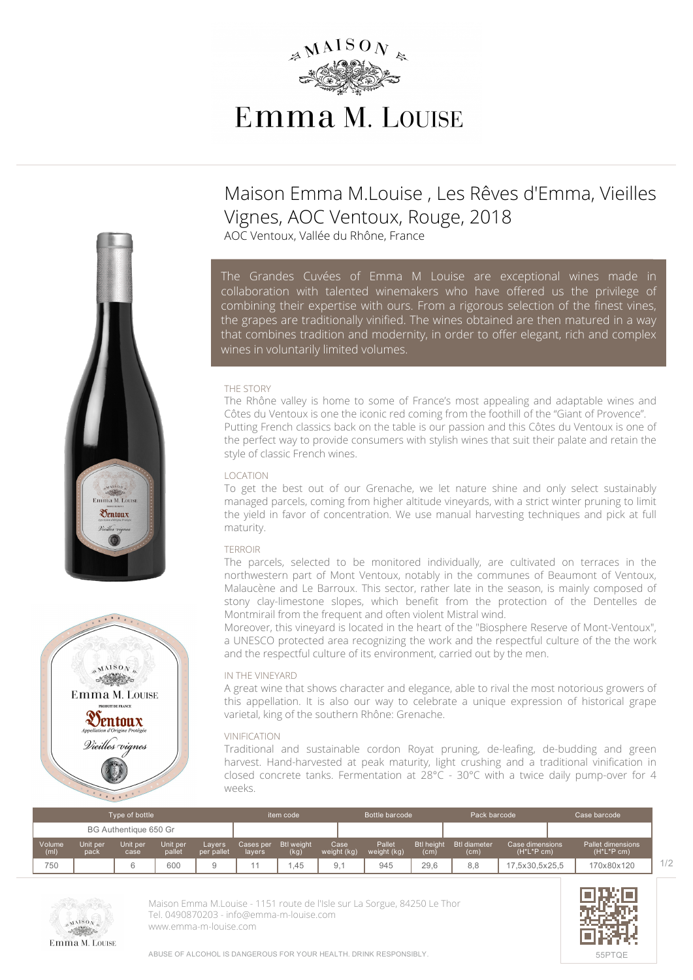

# **Maison Emma M.Louise , Les Rêves d'Emma, Vieilles Vignes, AOC Ventoux, Rouge, 2018**

AOC Ventoux, Vallée du Rhône, France

*The Grandes Cuvées of Emma M Louise are exceptional wines made in collaboration with talented winemakers who have offered us the privilege of combining their expertise with ours. From a rigorous selection of the finest vines, the grapes are traditionally vinified. The wines obtained are then matured in a way that combines tradition and modernity, in order to offer elegant, rich and complex wines in voluntarily limited volumes.*

### **THE STORY**

The Rhône valley is home to some of France's most appealing and adaptable wines and Côtes du Ventoux is one the iconic red coming from the foothill of the "Giant of Provence". Putting French classics back on the table is our passion and this Côtes du Ventoux is one of the perfect way to provide consumers with stylish wines that suit their palate and retain the style of classic French wines.

#### **LOCATION**

To get the best out of our Grenache, we let nature shine and only select sustainably managed parcels, coming from higher altitude vineyards, with a strict winter pruning to limit the yield in favor of concentration. We use manual harvesting techniques and pick at full maturity.

## **TERROIR**

The parcels, selected to be monitored individually, are cultivated on terraces in the northwestern part of Mont Ventoux, notably in the communes of Beaumont of Ventoux, Malaucène and Le Barroux. This sector, rather late in the season, is mainly composed of stony clay-limestone slopes, which benefit from the protection of the Dentelles de Montmirail from the frequent and often violent Mistral wind.

Moreover, this vineyard is located in the heart of the "Biosphere Reserve of Mont-Ventoux", a UNESCO protected area recognizing the work and the respectful culture of the the work and the respectful culture of its environment, carried out by the men.

## **IN THE VINEYARD**

A great wine that shows character and elegance, able to rival the most notorious growers of this appellation. It is also our way to celebrate a unique expression of historical grape varietal, king of the southern Rhône: Grenache.

## **VINIFICATION**

Traditional and sustainable cordon Royat pruning, de-leafing, de-budding and green harvest. Hand-harvested at peak maturity, light crushing and a traditional vinification in closed concrete tanks. Fermentation at 28°C - 30°C with a twice daily pump-over for 4 weeks.

| Type of bottle        |                  |                  |                    |                      | item code           |                           | Bottle barcode      |                       | Pack barcode              |                             | Case barcode                      |                                     |
|-----------------------|------------------|------------------|--------------------|----------------------|---------------------|---------------------------|---------------------|-----------------------|---------------------------|-----------------------------|-----------------------------------|-------------------------------------|
| BG Authentique 650 Gr |                  |                  |                    |                      |                     |                           |                     |                       |                           |                             |                                   |                                     |
| Volume<br>(ml)        | Unit per<br>pack | Unit per<br>case | Unit per<br>pallet | Lavers<br>per pallet | Cases per<br>layers | <b>Btl</b> weight<br>(kg) | Case<br>weight (kg) | Pallet<br>weight (kg) | <b>Btl height</b><br>(cm) | <b>Btl diameter</b><br>(cm) | Case dimensions<br>$(H^*L^*P$ cm) | Pallet dimensions<br>$(H^*L^*P cm)$ |
| 750                   |                  |                  | 600                | u                    |                     | .45                       | 9,1                 | 945                   | 29.6                      | 8,8                         | 17.5x30.5x25.5                    | 170x80x120                          |



**Maison Emma M.Louise** - 1151 route de l'Isle sur La Sorgue, 84250 Le Thor Tel. 0490870203 - info@emma-m-louise.com <www.emma-m-louise.com>



 $M<sub>MSO</sub>$ Emma M. Louise Oentoux Vieilles viani

Emma M. Louis  $\mathcal{D}_{\text{entoux}}$